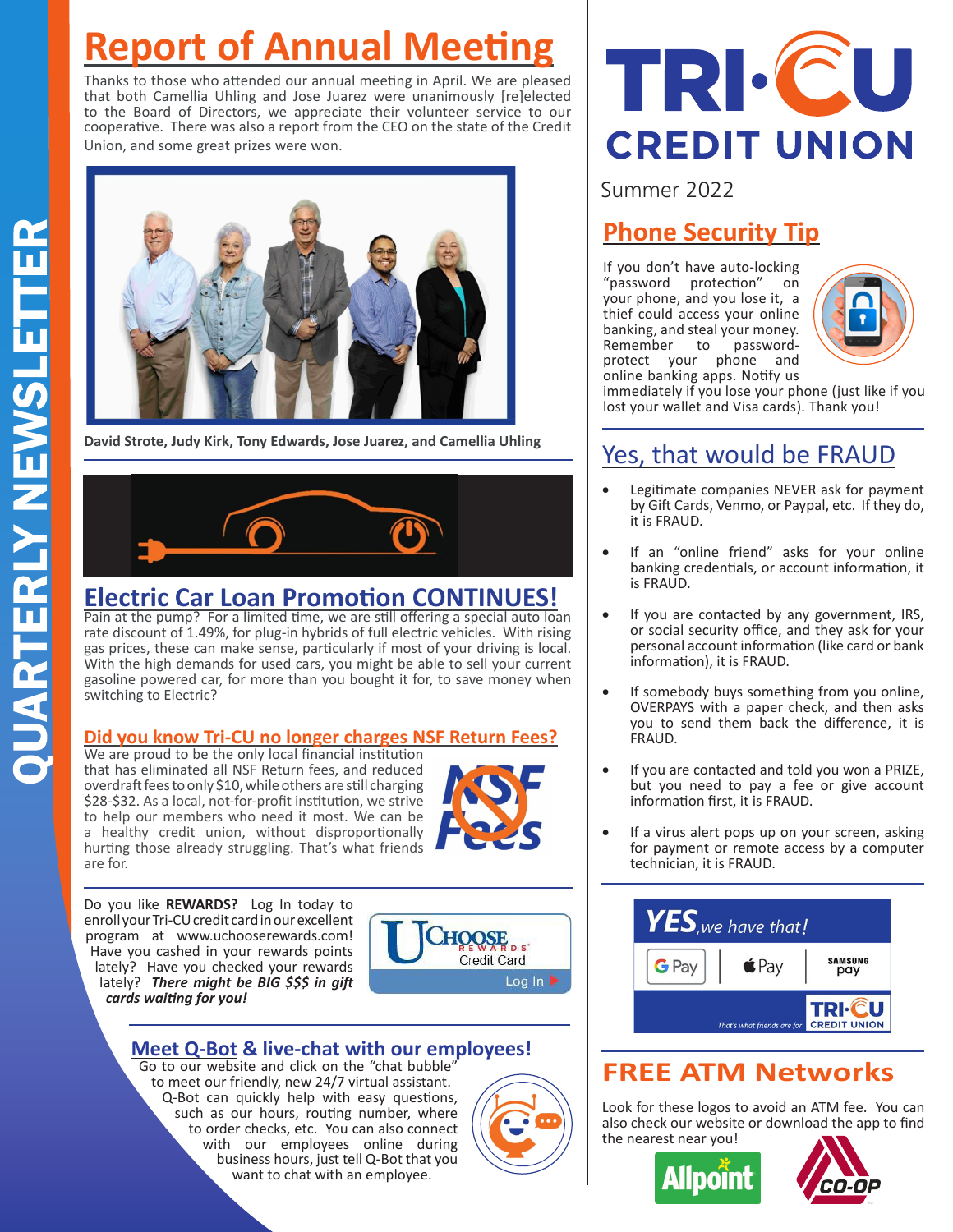# **Report of Annual Meeting**

Thanks to those who attended our annual meeting in April. We are pleased that both Camellia Uhling and Jose Juarez were unanimously [re]elected to the Board of Directors, we appreciate their volunteer service to our cooperative. There was also a report from the CEO on the state of the Credit Union, and some great prizes were won.



**David Strote, Judy Kirk, Tony Edwards, Jose Juarez, and Camellia Uhling**



# **Electric Car Loan Promotion CONTINUES!**

Pain at the pump? For a limited time, we are still offering a special auto loan rate discount of 1.49%, for plug-in hybrids of full electric vehicles. With rising gas prices, these can make sense, particularly if most of your driving is local. With the high demands for used cars, you might be able to sell your current gasoline powered car, for more than you bought it for, to save money when switching to Electric?

#### **Did you know Tri-CU no longer charges NSF Return Fees?**

We are proud to be the only local financial institution that has eliminated all NSF Return fees, and reduced overdraft fees to only \$10, while others are still charging \$28-\$32. As a local, not-for-profit institution, we strive to help our members who need it most. We can be a healthy credit union, without disproportionally hurting those already struggling. That's what friends are for.



Do you like **REWARDS?** Log In today to enroll your Tri-CU credit card in our excellent program at www.uchooserewards.com! Have you cashed in your rewards points lately? Have you checked your rewards lately? *There might be BIG \$\$\$ in gift cards waiting for you!*



#### **Meet Q-Bot & live-chat with our employees!**

Go to our website and click on the "chat bubble" to meet our friendly, new 24/7 virtual assistant. Q-Bot can quickly help with easy questions, such as our hours, routing number, where to order checks, etc. You can also connect with our employees online during business hours, just tell Q-Bot that you want to chat with an employee.



# TRI.CU **CREDIT UNION**

## Summer 2022

# **Phone Security Tip**

If you don't have auto-locking "password protection" on your phone, and you lose it, a thief could access your online banking, and steal your money. Remember to passwordprotect your phone and online banking apps. Notify us



immediately if you lose your phone (just like if you lost your wallet and Visa cards). Thank you!

# Yes, that would be FRAUD

- • Legitimate companies NEVER ask for payment by Gift Cards, Venmo, or Paypal, etc. If they do, it is FRAUD.
- • If an "online friend" asks for your online banking credentials, or account information, it is FRAUD.
- • If you are contacted by any government, IRS, or social security office, and they ask for your personal account information (like card or bank information), it is FRAUD.
- If somebody buys something from you online, OVERPAYS with a paper check, and then asks you to send them back the difference, it is FRAUD.
- • If you are contacted and told you won a PRIZE, but you need to pay a fee or give account information first, it is FRAUD.
- If a virus alert pops up on your screen, asking for payment or remote access by a computer technician, it is FRAUD.



# **FREE ATM Networks**

Look for these logos to avoid an ATM fee. You can also check our website or download the app to find the nearest near you!